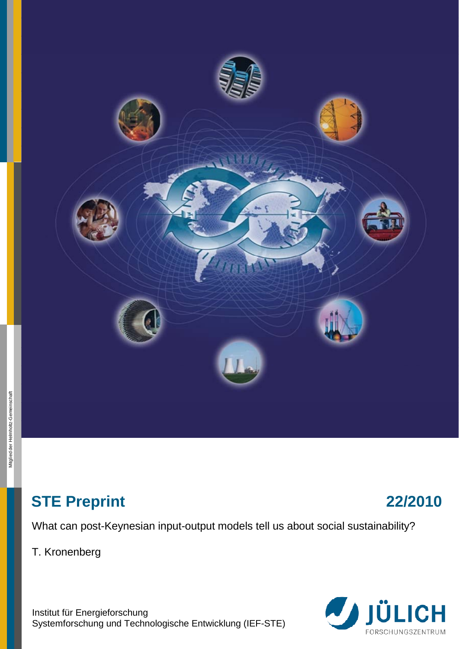

# **STE Preprint 22/2010**

What can post-Keynesian input-output models tell us about social sustainability?

T. Kronenberg

Institut für Energieforschung Systemforschung und Technologische Entwicklung (IEF-STE)

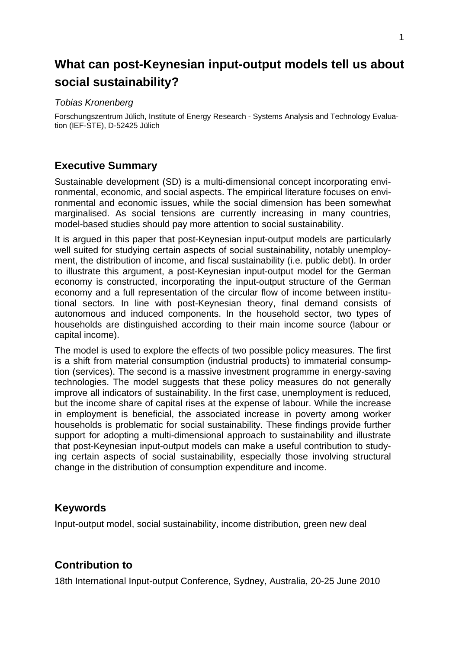# **What can post-Keynesian input-output models tell us about social sustainability?**

#### *Tobias Kronenberg*

Forschungszentrum Jülich, Institute of Energy Research - Systems Analysis and Technology Evaluation (IEF-STE), D-52425 Jülich

# **Executive Summary**

Sustainable development (SD) is a multi-dimensional concept incorporating environmental, economic, and social aspects. The empirical literature focuses on environmental and economic issues, while the social dimension has been somewhat marginalised. As social tensions are currently increasing in many countries, model-based studies should pay more attention to social sustainability.

It is argued in this paper that post-Keynesian input-output models are particularly well suited for studying certain aspects of social sustainability, notably unemployment, the distribution of income, and fiscal sustainability (i.e. public debt). In order to illustrate this argument, a post-Keynesian input-output model for the German economy is constructed, incorporating the input-output structure of the German economy and a full representation of the circular flow of income between institutional sectors. In line with post-Keynesian theory, final demand consists of autonomous and induced components. In the household sector, two types of households are distinguished according to their main income source (labour or capital income).

The model is used to explore the effects of two possible policy measures. The first is a shift from material consumption (industrial products) to immaterial consumption (services). The second is a massive investment programme in energy-saving technologies. The model suggests that these policy measures do not generally improve all indicators of sustainability. In the first case, unemployment is reduced, but the income share of capital rises at the expense of labour. While the increase in employment is beneficial, the associated increase in poverty among worker households is problematic for social sustainability. These findings provide further support for adopting a multi-dimensional approach to sustainability and illustrate that post-Keynesian input-output models can make a useful contribution to studying certain aspects of social sustainability, especially those involving structural change in the distribution of consumption expenditure and income.

# **Keywords**

Input-output model, social sustainability, income distribution, green new deal

# **Contribution to**

18th International Input-output Conference, Sydney, Australia, 20-25 June 2010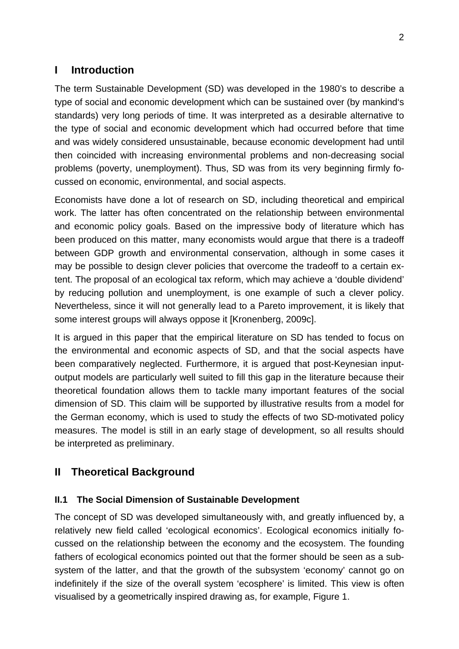# **I Introduction**

The term Sustainable Development (SD) was developed in the 1980's to describe a type of social and economic development which can be sustained over (by mankind's standards) very long periods of time. It was interpreted as a desirable alternative to the type of social and economic development which had occurred before that time and was widely considered unsustainable, because economic development had until then coincided with increasing environmental problems and non-decreasing social problems (poverty, unemployment). Thus, SD was from its very beginning firmly focussed on economic, environmental, and social aspects.

Economists have done a lot of research on SD, including theoretical and empirical work. The latter has often concentrated on the relationship between environmental and economic policy goals. Based on the impressive body of literature which has been produced on this matter, many economists would argue that there is a tradeoff between GDP growth and environmental conservation, although in some cases it may be possible to design clever policies that overcome the tradeoff to a certain extent. The proposal of an ecological tax reform, which may achieve a 'double dividend' by reducing pollution and unemployment, is one example of such a clever policy. Nevertheless, since it will not generally lead to a Pareto improvement, it is likely that some interest groups will always oppose it [Kronenberg, 2009c].

It is argued in this paper that the empirical literature on SD has tended to focus on the environmental and economic aspects of SD, and that the social aspects have been comparatively neglected. Furthermore, it is argued that post-Keynesian inputoutput models are particularly well suited to fill this gap in the literature because their theoretical foundation allows them to tackle many important features of the social dimension of SD. This claim will be supported by illustrative results from a model for the German economy, which is used to study the effects of two SD-motivated policy measures. The model is still in an early stage of development, so all results should be interpreted as preliminary.

# **II Theoretical Background**

# **II.1 The Social Dimension of Sustainable Development**

The concept of SD was developed simultaneously with, and greatly influenced by, a relatively new field called 'ecological economics'. Ecological economics initially focussed on the relationship between the economy and the ecosystem. The founding fathers of ecological economics pointed out that the former should be seen as a subsystem of the latter, and that the growth of the subsystem 'economy' cannot go on indefinitely if the size of the overall system 'ecosphere' is limited. This view is often visualised by a geometrically inspired drawing as, for example, Figure 1.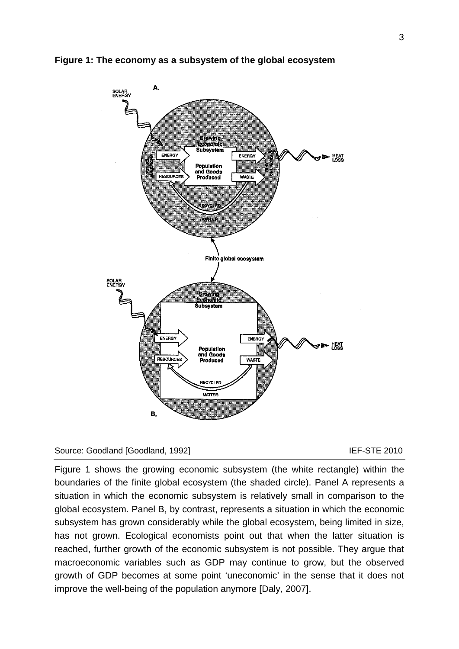

#### **Figure 1: The economy as a subsystem of the global ecosystem**

#### Source: Goodland [Goodland, 1992] **IEF-STE 2010**

Figure 1 shows the growing economic subsystem (the white rectangle) within the boundaries of the finite global ecosystem (the shaded circle). Panel A represents a situation in which the economic subsystem is relatively small in comparison to the global ecosystem. Panel B, by contrast, represents a situation in which the economic subsystem has grown considerably while the global ecosystem, being limited in size, has not grown. Ecological economists point out that when the latter situation is reached, further growth of the economic subsystem is not possible. They argue that macroeconomic variables such as GDP may continue to grow, but the observed growth of GDP becomes at some point 'uneconomic' in the sense that it does not improve the well-being of the population anymore [Daly, 2007].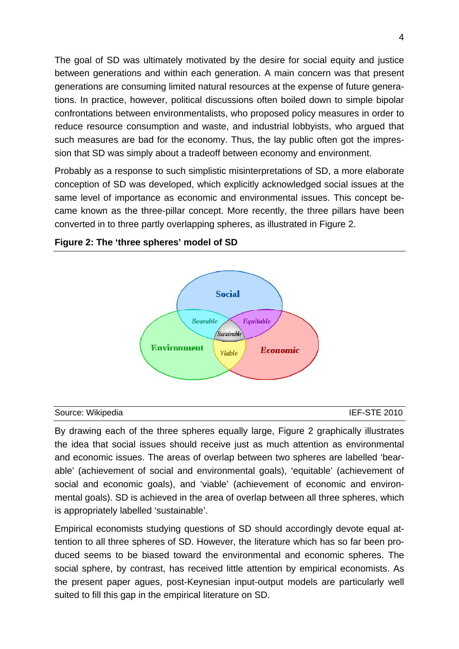The goal of SD was ultimately motivated by the desire for social equity and justice between generations and within each generation. A main concern was that present generations are consuming limited natural resources at the expense of future generations. In practice, however, political discussions often boiled down to simple bipolar confrontations between environmentalists, who proposed policy measures in order to reduce resource consumption and waste, and industrial lobbyists, who argued that such measures are bad for the economy. Thus, the lay public often got the impression that SD was simply about a tradeoff between economy and environment.

Probably as a response to such simplistic misinterpretations of SD, a more elaborate conception of SD was developed, which explicitly acknowledged social issues at the same level of importance as economic and environmental issues. This concept became known as the three-pillar concept. More recently, the three pillars have been converted in to three partly overlapping spheres, as illustrated in Figure 2.



#### **Figure 2: The 'three spheres' model of SD**

#### Source: Wikipedia **IEF-STE 2010**

By drawing each of the three spheres equally large, Figure 2 graphically illustrates the idea that social issues should receive just as much attention as environmental and economic issues. The areas of overlap between two spheres are labelled 'bearable' (achievement of social and environmental goals), 'equitable' (achievement of social and economic goals), and 'viable' (achievement of economic and environmental goals). SD is achieved in the area of overlap between all three spheres, which is appropriately labelled 'sustainable'.

Empirical economists studying questions of SD should accordingly devote equal attention to all three spheres of SD. However, the literature which has so far been produced seems to be biased toward the environmental and economic spheres. The social sphere, by contrast, has received little attention by empirical economists. As the present paper agues, post-Keynesian input-output models are particularly well suited to fill this gap in the empirical literature on SD.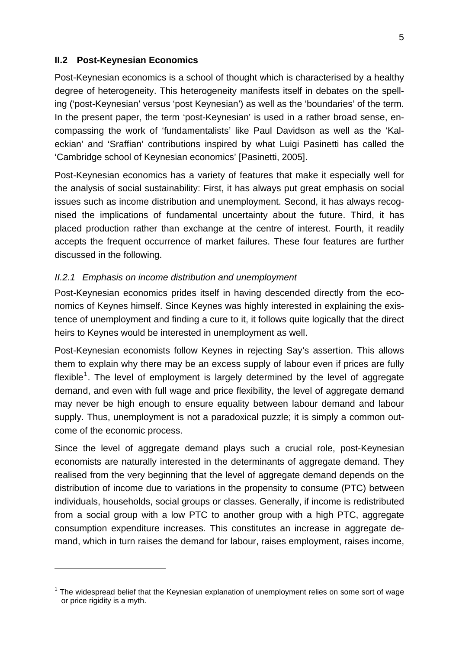#### **II.2 Post-Keynesian Economics**

1

Post-Keynesian economics is a school of thought which is characterised by a healthy degree of heterogeneity. This heterogeneity manifests itself in debates on the spelling ('post-Keynesian' versus 'post Keynesian') as well as the 'boundaries' of the term. In the present paper, the term 'post-Keynesian' is used in a rather broad sense, encompassing the work of 'fundamentalists' like Paul Davidson as well as the 'Kaleckian' and 'Sraffian' contributions inspired by what Luigi Pasinetti has called the 'Cambridge school of Keynesian economics' [Pasinetti, 2005].

Post-Keynesian economics has a variety of features that make it especially well for the analysis of social sustainability: First, it has always put great emphasis on social issues such as income distribution and unemployment. Second, it has always recognised the implications of fundamental uncertainty about the future. Third, it has placed production rather than exchange at the centre of interest. Fourth, it readily accepts the frequent occurrence of market failures. These four features are further discussed in the following.

#### *II.2.1 Emphasis on income distribution and unemployment*

Post-Keynesian economics prides itself in having descended directly from the economics of Keynes himself. Since Keynes was highly interested in explaining the existence of unemployment and finding a cure to it, it follows quite logically that the direct heirs to Keynes would be interested in unemployment as well.

Post-Keynesian economists follow Keynes in rejecting Say's assertion. This allows them to explain why there may be an excess supply of labour even if prices are fully flexible<sup>[1](#page-6-0)</sup>. The level of employment is largely determined by the level of aggregate demand, and even with full wage and price flexibility, the level of aggregate demand may never be high enough to ensure equality between labour demand and labour supply. Thus, unemployment is not a paradoxical puzzle; it is simply a common outcome of the economic process.

Since the level of aggregate demand plays such a crucial role, post-Keynesian economists are naturally interested in the determinants of aggregate demand. They realised from the very beginning that the level of aggregate demand depends on the distribution of income due to variations in the propensity to consume (PTC) between individuals, households, social groups or classes. Generally, if income is redistributed from a social group with a low PTC to another group with a high PTC, aggregate consumption expenditure increases. This constitutes an increase in aggregate demand, which in turn raises the demand for labour, raises employment, raises income,

<span id="page-6-0"></span> $1$  The widespread belief that the Keynesian explanation of unemployment relies on some sort of wage or price rigidity is a myth.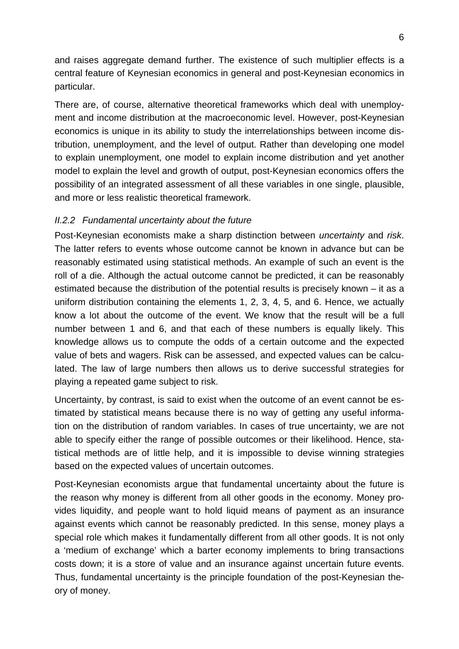and raises aggregate demand further. The existence of such multiplier effects is a central feature of Keynesian economics in general and post-Keynesian economics in particular.

There are, of course, alternative theoretical frameworks which deal with unemployment and income distribution at the macroeconomic level. However, post-Keynesian economics is unique in its ability to study the interrelationships between income distribution, unemployment, and the level of output. Rather than developing one model to explain unemployment, one model to explain income distribution and yet another model to explain the level and growth of output, post-Keynesian economics offers the possibility of an integrated assessment of all these variables in one single, plausible, and more or less realistic theoretical framework.

## *II.2.2 Fundamental uncertainty about the future*

Post-Keynesian economists make a sharp distinction between *uncertainty* and *risk*. The latter refers to events whose outcome cannot be known in advance but can be reasonably estimated using statistical methods. An example of such an event is the roll of a die. Although the actual outcome cannot be predicted, it can be reasonably estimated because the distribution of the potential results is precisely known – it as a uniform distribution containing the elements 1, 2, 3, 4, 5, and 6. Hence, we actually know a lot about the outcome of the event. We know that the result will be a full number between 1 and 6, and that each of these numbers is equally likely. This knowledge allows us to compute the odds of a certain outcome and the expected value of bets and wagers. Risk can be assessed, and expected values can be calculated. The law of large numbers then allows us to derive successful strategies for playing a repeated game subject to risk.

Uncertainty, by contrast, is said to exist when the outcome of an event cannot be estimated by statistical means because there is no way of getting any useful information on the distribution of random variables. In cases of true uncertainty, we are not able to specify either the range of possible outcomes or their likelihood. Hence, statistical methods are of little help, and it is impossible to devise winning strategies based on the expected values of uncertain outcomes.

Post-Keynesian economists argue that fundamental uncertainty about the future is the reason why money is different from all other goods in the economy. Money provides liquidity, and people want to hold liquid means of payment as an insurance against events which cannot be reasonably predicted. In this sense, money plays a special role which makes it fundamentally different from all other goods. It is not only a 'medium of exchange' which a barter economy implements to bring transactions costs down; it is a store of value and an insurance against uncertain future events. Thus, fundamental uncertainty is the principle foundation of the post-Keynesian theory of money.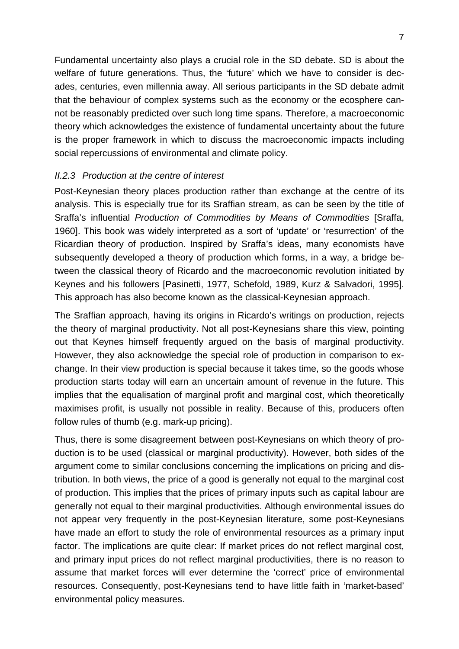Fundamental uncertainty also plays a crucial role in the SD debate. SD is about the welfare of future generations. Thus, the 'future' which we have to consider is decades, centuries, even millennia away. All serious participants in the SD debate admit that the behaviour of complex systems such as the economy or the ecosphere cannot be reasonably predicted over such long time spans. Therefore, a macroeconomic theory which acknowledges the existence of fundamental uncertainty about the future is the proper framework in which to discuss the macroeconomic impacts including social repercussions of environmental and climate policy.

#### *II.2.3 Production at the centre of interest*

Post-Keynesian theory places production rather than exchange at the centre of its analysis. This is especially true for its Sraffian stream, as can be seen by the title of Sraffa's influential *Production of Commodities by Means of Commodities* [Sraffa, 1960]. This book was widely interpreted as a sort of 'update' or 'resurrection' of the Ricardian theory of production. Inspired by Sraffa's ideas, many economists have subsequently developed a theory of production which forms, in a way, a bridge between the classical theory of Ricardo and the macroeconomic revolution initiated by Keynes and his followers [Pasinetti, 1977, Schefold, 1989, Kurz & Salvadori, 1995]. This approach has also become known as the classical-Keynesian approach.

The Sraffian approach, having its origins in Ricardo's writings on production, rejects the theory of marginal productivity. Not all post-Keynesians share this view, pointing out that Keynes himself frequently argued on the basis of marginal productivity. However, they also acknowledge the special role of production in comparison to exchange. In their view production is special because it takes time, so the goods whose production starts today will earn an uncertain amount of revenue in the future. This implies that the equalisation of marginal profit and marginal cost, which theoretically maximises profit, is usually not possible in reality. Because of this, producers often follow rules of thumb (e.g. mark-up pricing).

Thus, there is some disagreement between post-Keynesians on which theory of production is to be used (classical or marginal productivity). However, both sides of the argument come to similar conclusions concerning the implications on pricing and distribution. In both views, the price of a good is generally not equal to the marginal cost of production. This implies that the prices of primary inputs such as capital labour are generally not equal to their marginal productivities. Although environmental issues do not appear very frequently in the post-Keynesian literature, some post-Keynesians have made an effort to study the role of environmental resources as a primary input factor. The implications are quite clear: If market prices do not reflect marginal cost, and primary input prices do not reflect marginal productivities, there is no reason to assume that market forces will ever determine the 'correct' price of environmental resources. Consequently, post-Keynesians tend to have little faith in 'market-based' environmental policy measures.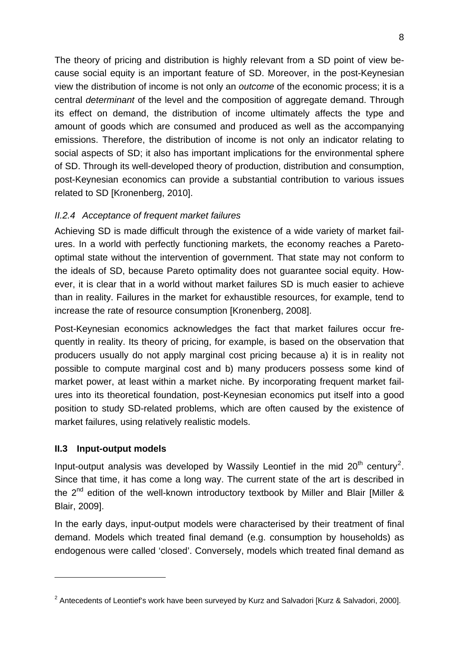The theory of pricing and distribution is highly relevant from a SD point of view because social equity is an important feature of SD. Moreover, in the post-Keynesian view the distribution of income is not only an *outcome* of the economic process; it is a central *determinant* of the level and the composition of aggregate demand. Through its effect on demand, the distribution of income ultimately affects the type and amount of goods which are consumed and produced as well as the accompanying emissions. Therefore, the distribution of income is not only an indicator relating to social aspects of SD; it also has important implications for the environmental sphere of SD. Through its well-developed theory of production, distribution and consumption, post-Keynesian economics can provide a substantial contribution to various issues related to SD [Kronenberg, 2010].

## *II.2.4 Acceptance of frequent market failures*

Achieving SD is made difficult through the existence of a wide variety of market failures. In a world with perfectly functioning markets, the economy reaches a Paretooptimal state without the intervention of government. That state may not conform to the ideals of SD, because Pareto optimality does not guarantee social equity. However, it is clear that in a world without market failures SD is much easier to achieve than in reality. Failures in the market for exhaustible resources, for example, tend to increase the rate of resource consumption [Kronenberg, 2008].

Post-Keynesian economics acknowledges the fact that market failures occur frequently in reality. Its theory of pricing, for example, is based on the observation that producers usually do not apply marginal cost pricing because a) it is in reality not possible to compute marginal cost and b) many producers possess some kind of market power, at least within a market niche. By incorporating frequent market failures into its theoretical foundation, post-Keynesian economics put itself into a good position to study SD-related problems, which are often caused by the existence of market failures, using relatively realistic models.

### **II.3 Input-output models**

1

Input-output analysis was developed by Wassily Leontief in the mid  $20<sup>th</sup>$  $20<sup>th</sup>$  century<sup>2</sup>. Since that time, it has come a long way. The current state of the art is described in the  $2^{nd}$  edition of the well-known introductory textbook by Miller and Blair [Miller & Blair, 2009].

In the early days, input-output models were characterised by their treatment of final demand. Models which treated final demand (e.g. consumption by households) as endogenous were called 'closed'. Conversely, models which treated final demand as

<span id="page-9-0"></span><sup>&</sup>lt;sup>2</sup> Antecedents of Leontief's work have been surveyed by Kurz and Salvadori [Kurz & Salvadori, 2000].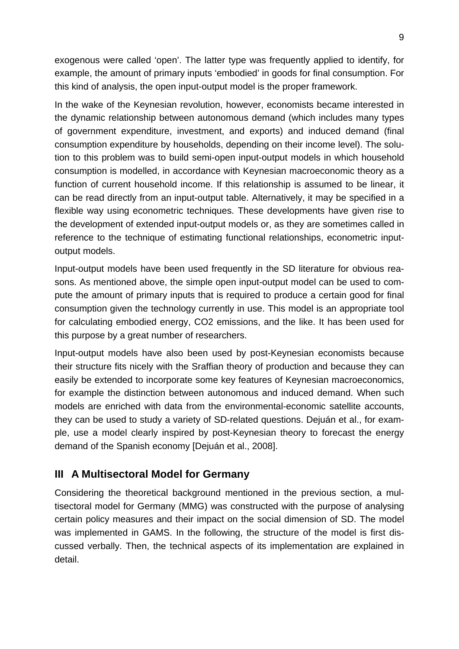exogenous were called 'open'. The latter type was frequently applied to identify, for example, the amount of primary inputs 'embodied' in goods for final consumption. For this kind of analysis, the open input-output model is the proper framework.

In the wake of the Keynesian revolution, however, economists became interested in the dynamic relationship between autonomous demand (which includes many types of government expenditure, investment, and exports) and induced demand (final consumption expenditure by households, depending on their income level). The solution to this problem was to build semi-open input-output models in which household consumption is modelled, in accordance with Keynesian macroeconomic theory as a function of current household income. If this relationship is assumed to be linear, it can be read directly from an input-output table. Alternatively, it may be specified in a flexible way using econometric techniques. These developments have given rise to the development of extended input-output models or, as they are sometimes called in reference to the technique of estimating functional relationships, econometric inputoutput models.

Input-output models have been used frequently in the SD literature for obvious reasons. As mentioned above, the simple open input-output model can be used to compute the amount of primary inputs that is required to produce a certain good for final consumption given the technology currently in use. This model is an appropriate tool for calculating embodied energy, CO2 emissions, and the like. It has been used for this purpose by a great number of researchers.

Input-output models have also been used by post-Keynesian economists because their structure fits nicely with the Sraffian theory of production and because they can easily be extended to incorporate some key features of Keynesian macroeconomics, for example the distinction between autonomous and induced demand. When such models are enriched with data from the environmental-economic satellite accounts, they can be used to study a variety of SD-related questions. Dejuán et al., for example, use a model clearly inspired by post-Keynesian theory to forecast the energy demand of the Spanish economy [Dejuán et al., 2008].

# **III A Multisectoral Model for Germany**

Considering the theoretical background mentioned in the previous section, a multisectoral model for Germany (MMG) was constructed with the purpose of analysing certain policy measures and their impact on the social dimension of SD. The model was implemented in GAMS. In the following, the structure of the model is first discussed verbally. Then, the technical aspects of its implementation are explained in detail.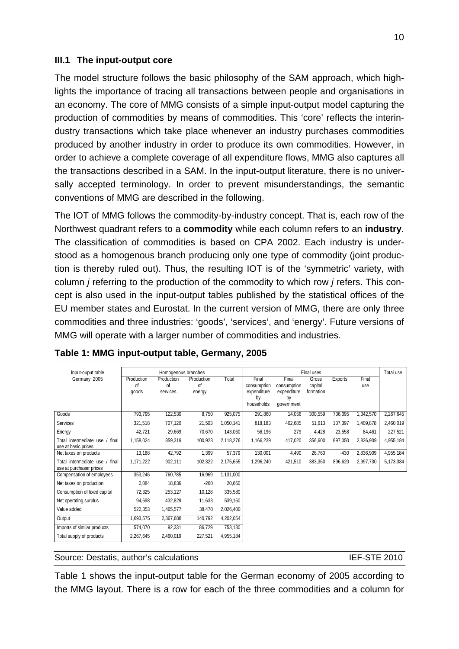#### **III.1 The input-output core**

The model structure follows the basic philosophy of the SAM approach, which highlights the importance of tracing all transactions between people and organisations in an economy. The core of MMG consists of a simple input-output model capturing the production of commodities by means of commodities. This 'core' reflects the interindustry transactions which take place whenever an industry purchases commodities produced by another industry in order to produce its own commodities. However, in order to achieve a complete coverage of all expenditure flows, MMG also captures all the transactions described in a SAM. In the input-output literature, there is no universally accepted terminology. In order to prevent misunderstandings, the semantic conventions of MMG are described in the following.

The IOT of MMG follows the commodity-by-industry concept. That is, each row of the Northwest quadrant refers to a **commodity** while each column refers to an **industry**. The classification of commodities is based on CPA 2002. Each industry is understood as a homogenous branch producing only one type of commodity (joint production is thereby ruled out). Thus, the resulting IOT is of the 'symmetric' variety, with column *j* referring to the production of the commodity to which row *j* refers. This concept is also used in the input-output tables published by the statistical offices of the EU member states and Eurostat. In the current version of MMG, there are only three commodities and three industries: 'goods', 'services', and 'energy'. Future versions of MMG will operate with a larger number of commodities and industries.

| Input-ouput table                                          |                           | Homogenous branches          |                            |           |                                                         |                                                         | Final uses                    |                |              | Total use |
|------------------------------------------------------------|---------------------------|------------------------------|----------------------------|-----------|---------------------------------------------------------|---------------------------------------------------------|-------------------------------|----------------|--------------|-----------|
| Germany, 2005                                              | Production<br>Ωf<br>goods | Production<br>Οf<br>services | Production<br>Ωf<br>energy | Total     | Final<br>consumption<br>expenditure<br>by<br>households | Final<br>consumption<br>expenditure<br>by<br>government | Gross<br>capital<br>formation | <b>Exports</b> | Final<br>use |           |
| Goods                                                      | 793,795                   | 122,530                      | 8,750                      | 925,075   | 291,860                                                 | 14,056                                                  | 300,559                       | 736,095        | 1,342,570    | 2,267,645 |
| Services                                                   | 321,518                   | 707,120                      | 21,503                     | 1,050,141 | 818,183                                                 | 402,685                                                 | 51,613                        | 137,397        | 1,409,878    | 2,460,019 |
| Energy                                                     | 42,721                    | 29,669                       | 70,670                     | 143,060   | 56,196                                                  | 279                                                     | 4,428                         | 23,558         | 84,461       | 227,521   |
| Total intermediate use / final<br>use at basic prices      | 1,158,034                 | 859,319                      | 100,923                    | 2,118,276 | 1,166,239                                               | 417,020                                                 | 356,600                       | 897,050        | 2,836,909    | 4,955,184 |
| Net taxes on products                                      | 13,188                    | 42,792                       | 1,399                      | 57,379    | 130,001                                                 | 4,490                                                   | 26,760                        | $-430$         | 2,836,909    | 4,955,184 |
| Total intermediate use<br>final<br>use at purchaser prices | 1,171,222                 | 902,111                      | 102,322                    | 2,175,655 | 1.296.240                                               | 421,510                                                 | 383,360                       | 896,620        | 2,997,730    | 5,173,384 |
| Compensation of employees                                  | 353,246                   | 760,785                      | 16,969                     | 1,131,000 |                                                         |                                                         |                               |                |              |           |
| Net taxes on production                                    | 2,084                     | 18,836                       | $-260$                     | 20,660    |                                                         |                                                         |                               |                |              |           |
| Consumption of fixed capital                               | 72,325                    | 253,127                      | 10,128                     | 335,580   |                                                         |                                                         |                               |                |              |           |
| Net operating surplus                                      | 94,698                    | 432,829                      | 11.633                     | 539,160   |                                                         |                                                         |                               |                |              |           |
| Value added                                                | 522,353                   | 1,465,577                    | 38,470                     | 2,026,400 |                                                         |                                                         |                               |                |              |           |
| Output                                                     | 1,693,575                 | 2,367,688                    | 140,792                    | 4,202,054 |                                                         |                                                         |                               |                |              |           |
| Imports of similar products                                | 574,070                   | 92,331                       | 86,729                     | 753,130   |                                                         |                                                         |                               |                |              |           |
| Total supply of products                                   | 2,267,645                 | 2,460,019                    | 227,521                    | 4,955,184 |                                                         |                                                         |                               |                |              |           |

| Table 1: MMG input-output table, Germany, 2005 |
|------------------------------------------------|
|------------------------------------------------|

Source: Destatis, author's calculations **IEF-STE 2010 IEF-STE 2010** 

Table 1 shows the input-output table for the German economy of 2005 according to the MMG layout. There is a row for each of the three commodities and a column for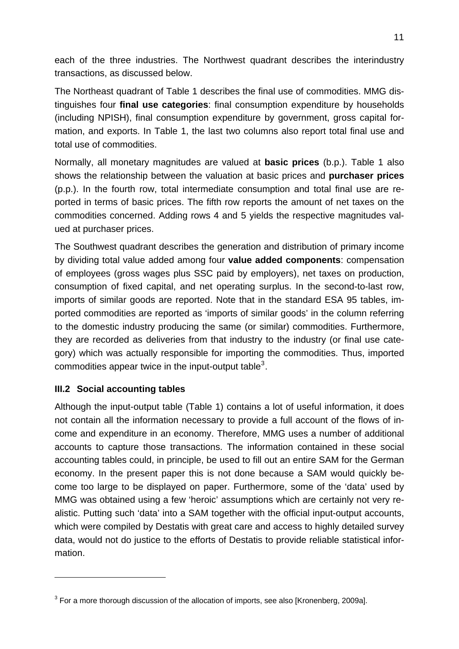each of the three industries. The Northwest quadrant describes the interindustry transactions, as discussed below.

The Northeast quadrant of Table 1 describes the final use of commodities. MMG distinguishes four **final use categories**: final consumption expenditure by households (including NPISH), final consumption expenditure by government, gross capital formation, and exports. In Table 1, the last two columns also report total final use and total use of commodities.

Normally, all monetary magnitudes are valued at **basic prices** (b.p.). Table 1 also shows the relationship between the valuation at basic prices and **purchaser prices**  (p.p.). In the fourth row, total intermediate consumption and total final use are reported in terms of basic prices. The fifth row reports the amount of net taxes on the commodities concerned. Adding rows 4 and 5 yields the respective magnitudes valued at purchaser prices.

The Southwest quadrant describes the generation and distribution of primary income by dividing total value added among four **value added components**: compensation of employees (gross wages plus SSC paid by employers), net taxes on production, consumption of fixed capital, and net operating surplus. In the second-to-last row, imports of similar goods are reported. Note that in the standard ESA 95 tables, imported commodities are reported as 'imports of similar goods' in the column referring to the domestic industry producing the same (or similar) commodities. Furthermore, they are recorded as deliveries from that industry to the industry (or final use category) which was actually responsible for importing the commodities. Thus, imported commodities appear twice in the input-output table<sup>[3](#page-12-0)</sup>.

### **III.2 Social accounting tables**

1

Although the input-output table (Table 1) contains a lot of useful information, it does not contain all the information necessary to provide a full account of the flows of income and expenditure in an economy. Therefore, MMG uses a number of additional accounts to capture those transactions. The information contained in these social accounting tables could, in principle, be used to fill out an entire SAM for the German economy. In the present paper this is not done because a SAM would quickly become too large to be displayed on paper. Furthermore, some of the 'data' used by MMG was obtained using a few 'heroic' assumptions which are certainly not very realistic. Putting such 'data' into a SAM together with the official input-output accounts, which were compiled by Destatis with great care and access to highly detailed survey data, would not do justice to the efforts of Destatis to provide reliable statistical information.

<span id="page-12-0"></span> $3$  For a more thorough discussion of the allocation of imports, see also [Kronenberg, 2009a].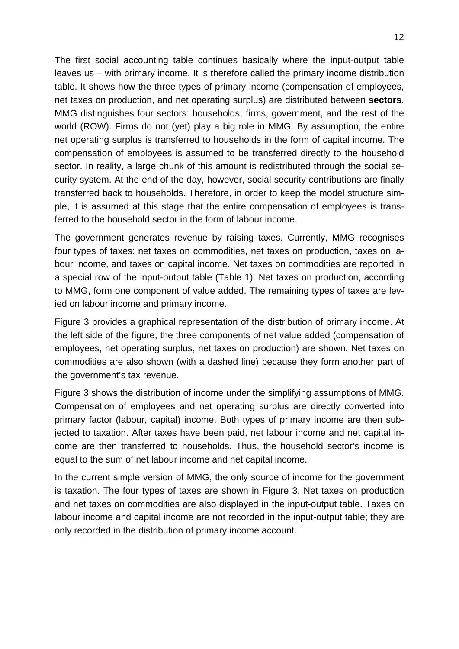The first social accounting table continues basically where the input-output table leaves us – with primary income. It is therefore called the primary income distribution table. It shows how the three types of primary income (compensation of employees, net taxes on production, and net operating surplus) are distributed between **sectors**. MMG distinguishes four sectors: households, firms, government, and the rest of the world (ROW). Firms do not (yet) play a big role in MMG. By assumption, the entire net operating surplus is transferred to households in the form of capital income. The compensation of employees is assumed to be transferred directly to the household sector. In reality, a large chunk of this amount is redistributed through the social security system. At the end of the day, however, social security contributions are finally transferred back to households. Therefore, in order to keep the model structure simple, it is assumed at this stage that the entire compensation of employees is transferred to the household sector in the form of labour income.

The government generates revenue by raising taxes. Currently, MMG recognises four types of taxes: net taxes on commodities, net taxes on production, taxes on labour income, and taxes on capital income. Net taxes on commodities are reported in a special row of the input-output table (Table 1). Net taxes on production, according to MMG, form one component of value added. The remaining types of taxes are levied on labour income and primary income.

Figure 3 provides a graphical representation of the distribution of primary income. At the left side of the figure, the three components of net value added (compensation of employees, net operating surplus, net taxes on production) are shown. Net taxes on commodities are also shown (with a dashed line) because they form another part of the government's tax revenue.

Figure 3 shows the distribution of income under the simplifying assumptions of MMG. Compensation of employees and net operating surplus are directly converted into primary factor (labour, capital) income. Both types of primary income are then subjected to taxation. After taxes have been paid, net labour income and net capital income are then transferred to households. Thus, the household sector's income is equal to the sum of net labour income and net capital income.

In the current simple version of MMG, the only source of income for the government is taxation. The four types of taxes are shown in Figure 3. Net taxes on production and net taxes on commodities are also displayed in the input-output table. Taxes on labour income and capital income are not recorded in the input-output table; they are only recorded in the distribution of primary income account.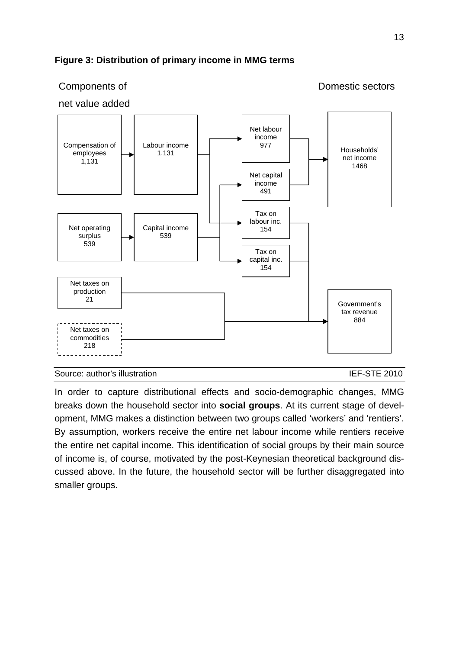

#### **Figure 3: Distribution of primary income in MMG terms**

Source: author's illustration IEF-STE 2010

In order to capture distributional effects and socio-demographic changes, MMG breaks down the household sector into **social groups**. At its current stage of development, MMG makes a distinction between two groups called 'workers' and 'rentiers'. By assumption, workers receive the entire net labour income while rentiers receive the entire net capital income. This identification of social groups by their main source of income is, of course, motivated by the post-Keynesian theoretical background discussed above. In the future, the household sector will be further disaggregated into smaller groups.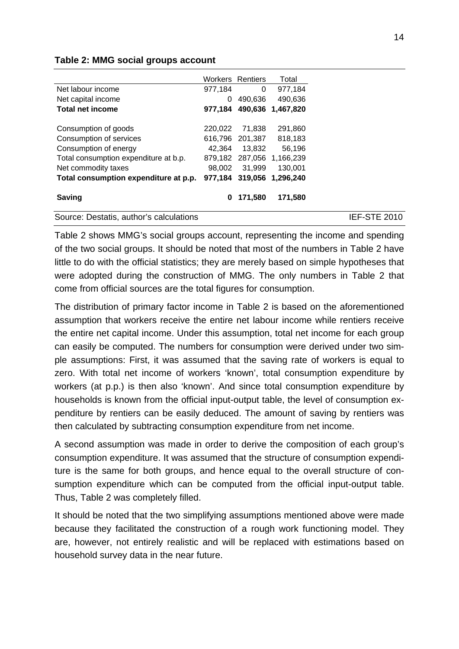#### **Table 2: MMG social groups account**

|                                         |         | <b>Workers Rentiers</b> | Total             |
|-----------------------------------------|---------|-------------------------|-------------------|
| Net labour income                       | 977,184 | 0                       | 977,184           |
| Net capital income                      | 0       | 490,636                 | 490,636           |
| <b>Total net income</b>                 | 977.184 | 490,636                 | 1,467,820         |
| Consumption of goods                    | 220.022 | 71,838                  | 291,860           |
| Consumption of services                 | 616,796 | 201,387                 | 818,183           |
| Consumption of energy                   | 42.364  | 13.832                  | 56,196            |
| Total consumption expenditure at b.p.   | 879.182 |                         | 287,056 1,166,239 |
| Net commodity taxes                     | 98.002  | 31.999                  | 130,001           |
| Total consumption expenditure at p.p.   | 977.184 | 319,056                 | 1.296.240         |
| <b>Saving</b>                           | 0       | 171,580                 | 171,580           |
| Source: Destatis, author's calculations |         |                         |                   |

Table 2 shows MMG's social groups account, representing the income and spending of the two social groups. It should be noted that most of the numbers in Table 2 have little to do with the official statistics; they are merely based on simple hypotheses that were adopted during the construction of MMG. The only numbers in Table 2 that come from official sources are the total figures for consumption.

The distribution of primary factor income in Table 2 is based on the aforementioned assumption that workers receive the entire net labour income while rentiers receive the entire net capital income. Under this assumption, total net income for each group can easily be computed. The numbers for consumption were derived under two simple assumptions: First, it was assumed that the saving rate of workers is equal to zero. With total net income of workers 'known', total consumption expenditure by workers (at p.p.) is then also 'known'. And since total consumption expenditure by households is known from the official input-output table, the level of consumption expenditure by rentiers can be easily deduced. The amount of saving by rentiers was then calculated by subtracting consumption expenditure from net income.

A second assumption was made in order to derive the composition of each group's consumption expenditure. It was assumed that the structure of consumption expenditure is the same for both groups, and hence equal to the overall structure of consumption expenditure which can be computed from the official input-output table. Thus, Table 2 was completely filled.

It should be noted that the two simplifying assumptions mentioned above were made because they facilitated the construction of a rough work functioning model. They are, however, not entirely realistic and will be replaced with estimations based on household survey data in the near future.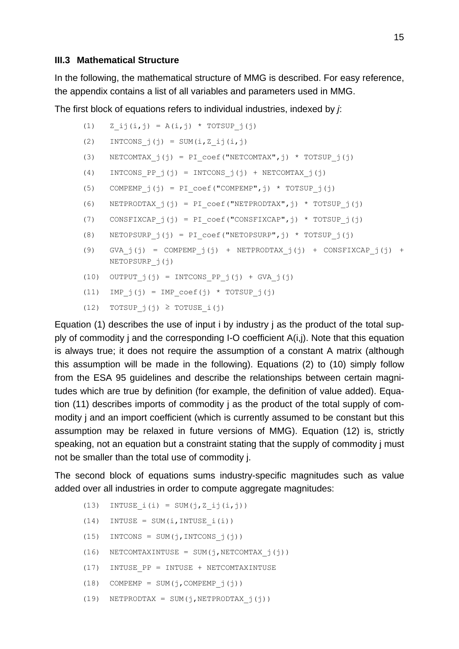#### **III.3 Mathematical Structure**

In the following, the mathematical structure of MMG is described. For easy reference, the appendix contains a list of all variables and parameters used in MMG.

The first block of equations refers to individual industries, indexed by *j*:

```
(1) Z_i(j, j) = A(i, j) * TOTSUP(j(j))(2) INTCONS j(j) = SUM(i,Z_i,j(i,j))(3) NETCOMTAX j(j) = PI\text{coef}("NETCOMTAX",j) * TOTSUP_j(j)(4) INTCONS PP j(j) = INTCONS j(j) + NETCOMTAX j(j)(5) COMPEMPj(j) = PI\text{coef}("COMPEMP",j) * TOTSUPj(j)(6) NETPRODTAX j(j) = PI \text{coef}("NETPRODTAX",j) * TOTSUP (j)(7) CONSFIXCAP j(j) = PI\text{coef}("CONSFIXCAP",j) * TOTSUP j(j)(8) NETOPSURP j(j) = PI\ coefficient("NETOPSURP",j) * TOTSUP(j(j))(9) GVA j(j) = COMPEMP j(j) + NETPRODTAX j(j) + CONSFIXCAP j(j) +
     NETOPSURP_j(j) 
(10) OUTPUT j(j) = INTCONS PP j(j) + GVA j(j)(11) IMP j(j) = IMP coef(j) * TOTSUP j(j)
```
(12) TOTSUP  $j(j) \geq T$ OTUSE  $i(j)$ 

Equation (1) describes the use of input i by industry j as the product of the total supply of commodity j and the corresponding I-O coefficient A(i,j). Note that this equation is always true; it does not require the assumption of a constant A matrix (although this assumption will be made in the following). Equations (2) to (10) simply follow from the ESA 95 guidelines and describe the relationships between certain magnitudes which are true by definition (for example, the definition of value added). Equation (11) describes imports of commodity j as the product of the total supply of commodity j and an import coefficient (which is currently assumed to be constant but this assumption may be relaxed in future versions of MMG). Equation (12) is, strictly speaking, not an equation but a constraint stating that the supply of commodity j must not be smaller than the total use of commodity j.

The second block of equations sums industry-specific magnitudes such as value added over all industries in order to compute aggregate magnitudes:

- (13) INTUSE  $i(i) = SUM(j, Zij(i,j))$
- $(14)$  INTUSE = SUM(i, INTUSE i(i))
- (15) INTCONS = SUM(j, INTCONS  $j(j)$ )
- (16) NETCOMTAXINTUSE = SUM(j, NETCOMTAX  $j(j)$ )
- (17) INTUSE\_PP = INTUSE + NETCOMTAXINTUSE
- $(18)$  COMPEMP = SUM(j, COMPEMP j(j))
- (19) NETPRODTAX = SUM(j, NETPRODTAX  $j(j)$ )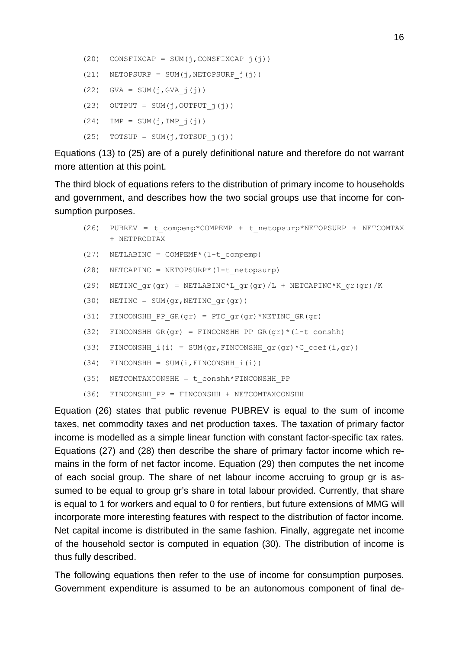(20) CONSFIXCAP = SUM(j,CONSFIXCAP  $j(j)$ ) (21) NETOPSURP = SUM(j, NETOPSURP  $j(j)$ )  $(22)$  GVA = SUM(j, GVA j(j)) (23) OUTPUT = SUM(j, OUTPUT  $j(j)$ )  $(24)$  IMP = SUM(j, IMP j(j))  $(25)$  TOTSUP = SUM(j, TOTSUP  $j(j)$ )

Equations (13) to (25) are of a purely definitional nature and therefore do not warrant more attention at this point.

The third block of equations refers to the distribution of primary income to households and government, and describes how the two social groups use that income for consumption purposes.

```
(26) PUBREV = t_compemp*COMPEMP + t_netopsurp*NETOPSURP + NETCOMTAX 
     + NETPRODTAX 
(27) NETLABINC = COMPEMP* (1-t compemp)
(28) NETCAPINC = NETOPSURP*(1-t netopsurp)
(29) NETINC qr(qr) = NETLABINC*L qr(qr)/L + NETCAPINC*K qr(qr)/K(30) NETINC = SUM(qr, NETINC qr(qr))
(31) FINCONSHH_PP_GR(gr) = PTC_gr(gr)*NETINC_GR(gr)
(32) FINCONSHH GR(gr) = FINCONSHH_PP_GR(gr) * (1-t_conshh)
(33) FINCONSHH i(i) = SUM(qr,FINCONSHH qr(qr)*C coef(i,qr))
(34) FINCONSHH = SUM(i, FINCONSHH i(i))
(35) NETCOMTAXCONSHH = t_conshh*FINCONSHH_PP 
(36) FINCONSHH_PP = FINCONSHH + NETCOMTAXCONSHH
```
Equation (26) states that public revenue PUBREV is equal to the sum of income taxes, net commodity taxes and net production taxes. The taxation of primary factor income is modelled as a simple linear function with constant factor-specific tax rates. Equations (27) and (28) then describe the share of primary factor income which remains in the form of net factor income. Equation (29) then computes the net income of each social group. The share of net labour income accruing to group gr is assumed to be equal to group gr's share in total labour provided. Currently, that share is equal to 1 for workers and equal to 0 for rentiers, but future extensions of MMG will incorporate more interesting features with respect to the distribution of factor income. Net capital income is distributed in the same fashion. Finally, aggregate net income of the household sector is computed in equation (30). The distribution of income is thus fully described.

The following equations then refer to the use of income for consumption purposes. Government expenditure is assumed to be an autonomous component of final de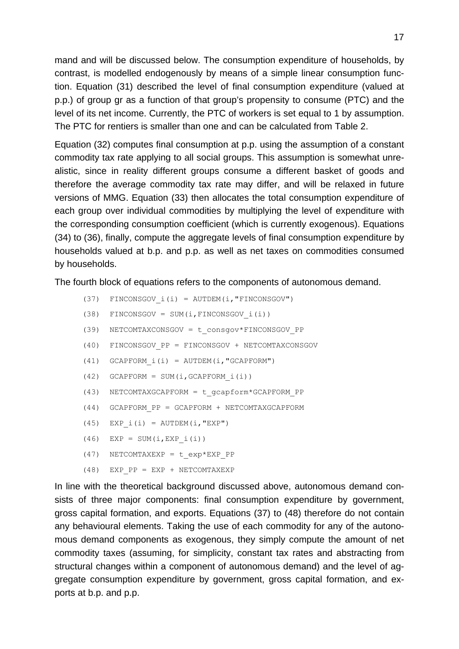mand and will be discussed below. The consumption expenditure of households, by contrast, is modelled endogenously by means of a simple linear consumption function. Equation (31) described the level of final consumption expenditure (valued at p.p.) of group gr as a function of that group's propensity to consume (PTC) and the level of its net income. Currently, the PTC of workers is set equal to 1 by assumption. The PTC for rentiers is smaller than one and can be calculated from Table 2.

Equation (32) computes final consumption at p.p. using the assumption of a constant commodity tax rate applying to all social groups. This assumption is somewhat unrealistic, since in reality different groups consume a different basket of goods and therefore the average commodity tax rate may differ, and will be relaxed in future versions of MMG. Equation (33) then allocates the total consumption expenditure of each group over individual commodities by multiplying the level of expenditure with the corresponding consumption coefficient (which is currently exogenous). Equations (34) to (36), finally, compute the aggregate levels of final consumption expenditure by households valued at b.p. and p.p. as well as net taxes on commodities consumed by households.

The fourth block of equations refers to the components of autonomous demand.

- (37) FINCONSGOV  $i(i)$  = AUTDEM( $i$ , "FINCONSGOV")
- $(38)$  FINCONSGOV = SUM(i, FINCONSGOV i(i))
- (39) NETCOMTAXCONSGOV = t\_consgov\*FINCONSGOV\_PP
- (40) FINCONSGOV\_PP = FINCONSGOV + NETCOMTAXCONSGOV
- (41) GCAPFORM  $i(i)$  = AUTDEM( $i$ , "GCAPFORM")
- (42) GCAPFORM = SUM(i,GCAPFORM\_i(i))
- (43) NETCOMTAXGCAPFORM = t\_gcapform\*GCAPFORM\_PP
- (44) GCAPFORM\_PP = GCAPFORM + NETCOMTAXGCAPFORM
- (45) EXP  $i(i)$  = AUTDEM(i, "EXP")
- $(46)$  EXP = SUM(i, EXP i(i))
- (47) NETCOMTAXEXP =  $t$  exp\*EXP PP
- (48) EXP\_PP = EXP + NETCOMTAXEXP

In line with the theoretical background discussed above, autonomous demand consists of three major components: final consumption expenditure by government, gross capital formation, and exports. Equations (37) to (48) therefore do not contain any behavioural elements. Taking the use of each commodity for any of the autonomous demand components as exogenous, they simply compute the amount of net commodity taxes (assuming, for simplicity, constant tax rates and abstracting from structural changes within a component of autonomous demand) and the level of aggregate consumption expenditure by government, gross capital formation, and exports at b.p. and p.p.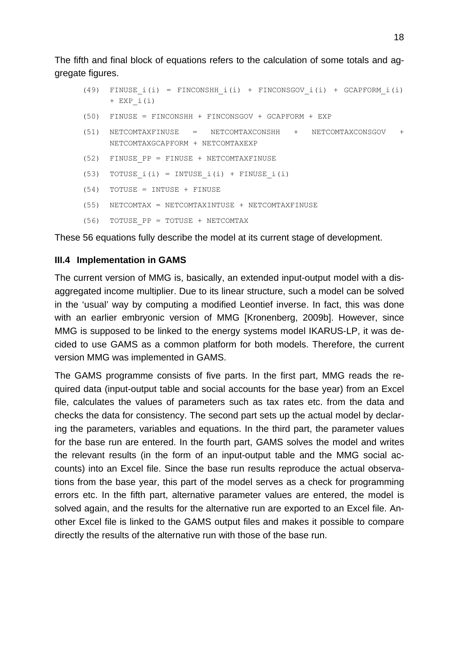The fifth and final block of equations refers to the calculation of some totals and aggregate figures.

(49) FINUSE  $i(i)$  = FINCONSHH  $i(i)$  + FINCONSGOV  $i(i)$  + GCAPFORM  $i(i)$  $+$  EXP i(i) (50) FINUSE = FINCONSHH + FINCONSGOV + GCAPFORM + EXP (51) NETCOMTAXFINUSE = NETCOMTAXCONSHH + NETCOMTAXCONSGOV + NETCOMTAXGCAPFORM + NETCOMTAXEXP (52) FINUSE\_PP = FINUSE + NETCOMTAXFINUSE (53) TOTUSE  $i(i) = INTUSE(i) + FINUSE(i)$ (54) TOTUSE = INTUSE + FINUSE (55) NETCOMTAX = NETCOMTAXINTUSE + NETCOMTAXFINUSE (56) TOTUSE\_PP = TOTUSE + NETCOMTAX

These 56 equations fully describe the model at its current stage of development.

#### **III.4 Implementation in GAMS**

The current version of MMG is, basically, an extended input-output model with a disaggregated income multiplier. Due to its linear structure, such a model can be solved in the 'usual' way by computing a modified Leontief inverse. In fact, this was done with an earlier embryonic version of MMG [Kronenberg, 2009b]. However, since MMG is supposed to be linked to the energy systems model IKARUS-LP, it was decided to use GAMS as a common platform for both models. Therefore, the current version MMG was implemented in GAMS.

The GAMS programme consists of five parts. In the first part, MMG reads the required data (input-output table and social accounts for the base year) from an Excel file, calculates the values of parameters such as tax rates etc. from the data and checks the data for consistency. The second part sets up the actual model by declaring the parameters, variables and equations. In the third part, the parameter values for the base run are entered. In the fourth part, GAMS solves the model and writes the relevant results (in the form of an input-output table and the MMG social accounts) into an Excel file. Since the base run results reproduce the actual observations from the base year, this part of the model serves as a check for programming errors etc. In the fifth part, alternative parameter values are entered, the model is solved again, and the results for the alternative run are exported to an Excel file. Another Excel file is linked to the GAMS output files and makes it possible to compare directly the results of the alternative run with those of the base run.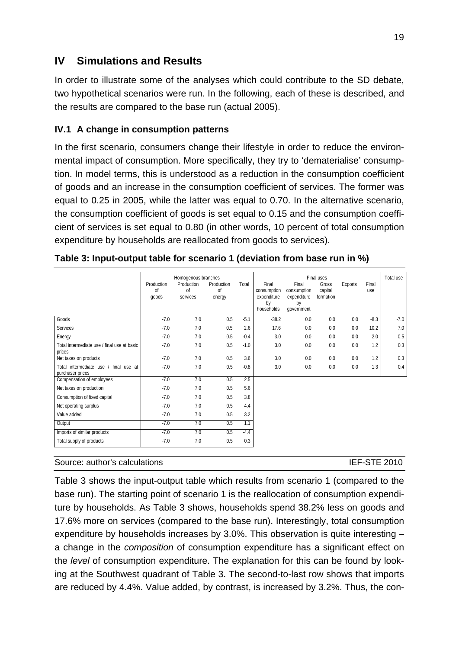# **IV Simulations and Results**

In order to illustrate some of the analyses which could contribute to the SD debate, two hypothetical scenarios were run. In the following, each of these is described, and the results are compared to the base run (actual 2005).

#### **IV.1 A change in consumption patterns**

In the first scenario, consumers change their lifestyle in order to reduce the environmental impact of consumption. More specifically, they try to 'dematerialise' consumption. In model terms, this is understood as a reduction in the consumption coefficient of goods and an increase in the consumption coefficient of services. The former was equal to 0.25 in 2005, while the latter was equal to 0.70. In the alternative scenario, the consumption coefficient of goods is set equal to 0.15 and the consumption coefficient of services is set equal to 0.80 (in other words, 10 percent of total consumption expenditure by households are reallocated from goods to services).

|                                                           |                                      | Homogenous branches          |                            |        |                                                         | Total use                                               |                               |                |              |        |
|-----------------------------------------------------------|--------------------------------------|------------------------------|----------------------------|--------|---------------------------------------------------------|---------------------------------------------------------|-------------------------------|----------------|--------------|--------|
|                                                           | Production<br><sup>of</sup><br>goods | Production<br>οf<br>services | Production<br>οf<br>energy | Total  | Final<br>consumption<br>expenditure<br>by<br>households | Final<br>consumption<br>expenditure<br>by<br>qovernment | Gross<br>capital<br>formation | <b>Exports</b> | Final<br>use |        |
| Goods                                                     | $-7.0$                               | 7.0                          | 0.5                        | $-5.1$ | $-38.2$                                                 | 0.0                                                     | 0.0                           | 0.0            | $-8.3$       | $-7.0$ |
| Services                                                  | $-7.0$                               | 7.0                          | 0.5                        | 2.6    | 17.6                                                    | 0.0                                                     | 0.0                           | 0.0            | 10.2         | 7.0    |
| Energy                                                    | $-7.0$                               | 7.0                          | 0.5                        | $-0.4$ | 3.0                                                     | 0.0                                                     | 0.0                           | 0.0            | 2.0          | 0.5    |
| Total intermediate use / final use at basic<br>prices     | $-7.0$                               | 7.0                          | 0.5                        | $-1.0$ | 3.0                                                     | 0.0                                                     | 0.0                           | 0.0            | 1.2          | 0.3    |
| Net taxes on products                                     | $-7.0$                               | 7.0                          | 0.5                        | 3.6    | 3.0                                                     | 0.0                                                     | 0.0                           | 0.0            | 1.2          | 0.3    |
| Total intermediate use / final use at<br>purchaser prices | $-7.0$                               | 7.0                          | 0.5                        | $-0.8$ | 3.0                                                     | 0.0                                                     | 0.0                           | 0.0            | 1.3          | 0.4    |
| Compensation of employees                                 | $-7.0$                               | 7.0                          | 0.5                        | 2.5    |                                                         |                                                         |                               |                |              |        |
| Net taxes on production                                   | $-7.0$                               | 7.0                          | 0.5                        | 5.6    |                                                         |                                                         |                               |                |              |        |
| Consumption of fixed capital                              | $-7.0$                               | 7.0                          | 0.5                        | 3.8    |                                                         |                                                         |                               |                |              |        |
| Net operating surplus                                     | $-7.0$                               | 7.0                          | 0.5                        | 4.4    |                                                         |                                                         |                               |                |              |        |
| Value added                                               | $-7.0$                               | 7.0                          | 0.5                        | 3.2    |                                                         |                                                         |                               |                |              |        |
| Output                                                    | $-7.0$                               | 7.0                          | 0.5                        | 1.1    |                                                         |                                                         |                               |                |              |        |
| Imports of similar products                               | $-7.0$                               | 7.0                          | 0.5                        | $-4.4$ |                                                         |                                                         |                               |                |              |        |
| Total supply of products                                  | $-7.0$                               | 7.0                          | 0.5                        | 0.3    |                                                         |                                                         |                               |                |              |        |

#### Source: author's calculations **IEF-STE 2010**

Table 3 shows the input-output table which results from scenario 1 (compared to the base run). The starting point of scenario 1 is the reallocation of consumption expenditure by households. As Table 3 shows, households spend 38.2% less on goods and 17.6% more on services (compared to the base run). Interestingly, total consumption expenditure by households increases by 3.0%. This observation is quite interesting – a change in the *composition* of consumption expenditure has a significant effect on the *level* of consumption expenditure. The explanation for this can be found by looking at the Southwest quadrant of Table 3. The second-to-last row shows that imports are reduced by 4.4%. Value added, by contrast, is increased by 3.2%. Thus, the con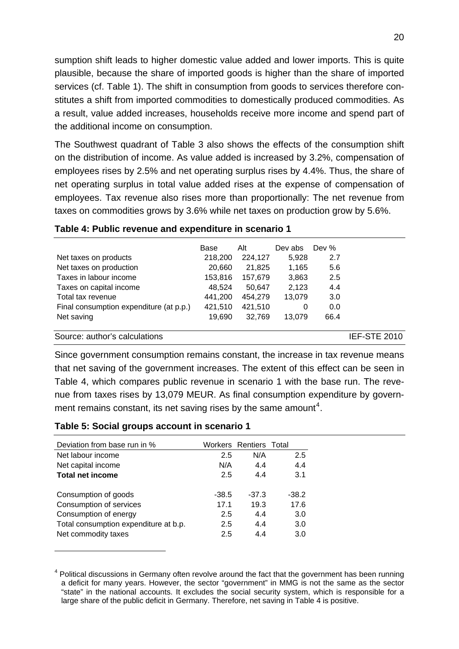sumption shift leads to higher domestic value added and lower imports. This is quite plausible, because the share of imported goods is higher than the share of imported services (cf. Table 1). The shift in consumption from goods to services therefore constitutes a shift from imported commodities to domestically produced commodities. As a result, value added increases, households receive more income and spend part of the additional income on consumption.

The Southwest quadrant of Table 3 also shows the effects of the consumption shift on the distribution of income. As value added is increased by 3.2%, compensation of employees rises by 2.5% and net operating surplus rises by 4.4%. Thus, the share of net operating surplus in total value added rises at the expense of compensation of employees. Tax revenue also rises more than proportionally: The net revenue from taxes on commodities grows by 3.6% while net taxes on production grow by 5.6%.

|                                         | Base    | Alt     | Dev abs | Dev % |                     |
|-----------------------------------------|---------|---------|---------|-------|---------------------|
| Net taxes on products                   | 218,200 | 224,127 | 5,928   | 2.7   |                     |
| Net taxes on production                 | 20,660  | 21,825  | 1,165   | 5.6   |                     |
| Taxes in labour income                  | 153,816 | 157,679 | 3,863   | 2.5   |                     |
| Taxes on capital income                 | 48.524  | 50.647  | 2,123   | 4.4   |                     |
| Total tax revenue                       | 441,200 | 454,279 | 13,079  | 3.0   |                     |
| Final consumption expenditure (at p.p.) | 421,510 | 421,510 | 0       | 0.0   |                     |
| Net saving                              | 19.690  | 32.769  | 13.079  | 66.4  |                     |
| Source: author's calculations           |         |         |         |       | <b>IEF-STE 2010</b> |

#### **Table 4: Public revenue and expenditure in scenario 1**

Since government consumption remains constant, the increase in tax revenue means that net saving of the government increases. The extent of this effect can be seen in Table 4, which compares public revenue in scenario 1 with the base run. The revenue from taxes rises by 13,079 MEUR. As final consumption expenditure by govern-ment remains constant, its net saving rises by the same amount<sup>[4](#page-21-0)</sup>.

#### **Table 5: Social groups account in scenario 1**

<u>.</u>

| Deviation from base run in %          |         | Workers Rentiers Total |         |
|---------------------------------------|---------|------------------------|---------|
| Net labour income                     | 2.5     | N/A                    | 2.5     |
| Net capital income                    | N/A     | 4.4                    | 4.4     |
| <b>Total net income</b>               | 2.5     | 4.4                    | 3.1     |
| Consumption of goods                  | $-38.5$ | $-37.3$                | $-38.2$ |
| Consumption of services               | 17.1    | 19.3                   | 17.6    |
| Consumption of energy                 | 2.5     | 4.4                    | 3.0     |
| Total consumption expenditure at b.p. | 2.5     | 4.4                    | 3.0     |
| Net commodity taxes                   | 2.5     | 4.4                    | 3.0     |

<span id="page-21-0"></span><sup>&</sup>lt;sup>4</sup> Political discussions in Germany often revolve around the fact that the government has been running a deficit for many years. However, the sector "government" in MMG is not the same as the sector "state" in the national accounts. It excludes the social security system, which is responsible for a large share of the public deficit in Germany. Therefore, net saving in Table 4 is positive.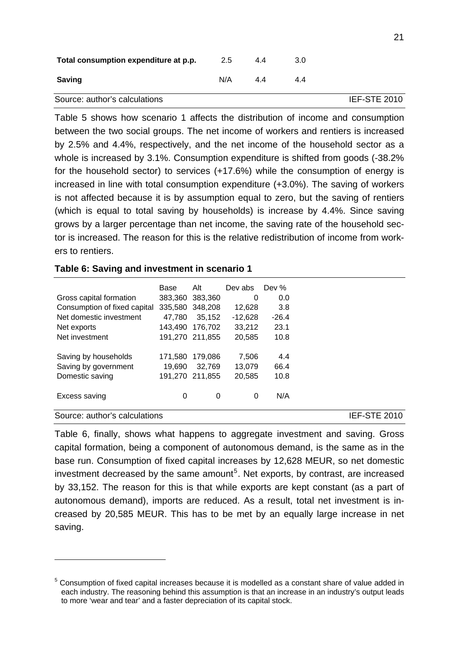| N/A | 44  | 4.4 |                     |
|-----|-----|-----|---------------------|
|     |     |     | <b>IEF-STE 2010</b> |
|     | 2.5 | 4.4 | 3.0                 |

Table 5 shows how scenario 1 affects the distribution of income and consumption between the two social groups. The net income of workers and rentiers is increased by 2.5% and 4.4%, respectively, and the net income of the household sector as a whole is increased by 3.1%. Consumption expenditure is shifted from goods (-38.2% for the household sector) to services (+17.6%) while the consumption of energy is increased in line with total consumption expenditure (+3.0%). The saving of workers is not affected because it is by assumption equal to zero, but the saving of rentiers (which is equal to total saving by households) is increase by 4.4%. Since saving grows by a larger percentage than net income, the saving rate of the household sector is increased. The reason for this is the relative redistribution of income from workers to rentiers.

#### **Table 6: Saving and investment in scenario 1**

1

|                               | Base    | Alt             | Dev abs   | Dev $%$ |                     |
|-------------------------------|---------|-----------------|-----------|---------|---------------------|
| Gross capital formation       |         | 383,360 383,360 | 0         | 0.0     |                     |
| Consumption of fixed capital  | 335,580 | 348,208         | 12,628    | 3.8     |                     |
| Net domestic investment       | 47.780  | 35.152          | $-12.628$ | $-26.4$ |                     |
| Net exports                   | 143.490 | 176.702         | 33,212    | 23.1    |                     |
| Net investment                |         | 191,270 211,855 | 20.585    | 10.8    |                     |
| Saving by households          | 171,580 | 179.086         | 7.506     | 4.4     |                     |
| Saving by government          | 19.690  | 32,769          | 13,079    | 66.4    |                     |
| Domestic saving               | 191.270 | 211.855         | 20,585    | 10.8    |                     |
| Excess saving                 | 0       | 0               | 0         | N/A     |                     |
| Source: author's calculations |         |                 |           |         | <b>IEF-STE 2010</b> |

Table 6, finally, shows what happens to aggregate investment and saving. Gross capital formation, being a component of autonomous demand, is the same as in the base run. Consumption of fixed capital increases by 12,628 MEUR, so net domestic investment decreased by the same amount<sup>[5](#page-22-0)</sup>. Net exports, by contrast, are increased by 33,152. The reason for this is that while exports are kept constant (as a part of autonomous demand), imports are reduced. As a result, total net investment is increased by 20,585 MEUR. This has to be met by an equally large increase in net saving.

<span id="page-22-0"></span><sup>&</sup>lt;sup>5</sup> Consumption of fixed capital increases because it is modelled as a constant share of value added in each industry. The reasoning behind this assumption is that an increase in an industry's output leads to more 'wear and tear' and a faster depreciation of its capital stock.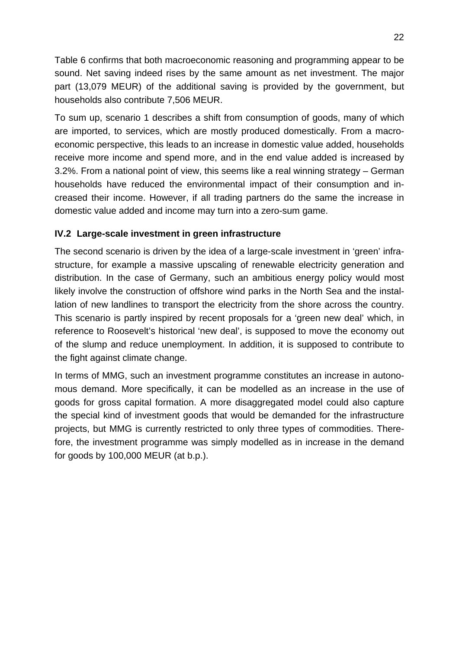Table 6 confirms that both macroeconomic reasoning and programming appear to be sound. Net saving indeed rises by the same amount as net investment. The major part (13,079 MEUR) of the additional saving is provided by the government, but households also contribute 7,506 MEUR.

To sum up, scenario 1 describes a shift from consumption of goods, many of which are imported, to services, which are mostly produced domestically. From a macroeconomic perspective, this leads to an increase in domestic value added, households receive more income and spend more, and in the end value added is increased by 3.2%. From a national point of view, this seems like a real winning strategy – German households have reduced the environmental impact of their consumption and increased their income. However, if all trading partners do the same the increase in domestic value added and income may turn into a zero-sum game.

### **IV.2 Large-scale investment in green infrastructure**

The second scenario is driven by the idea of a large-scale investment in 'green' infrastructure, for example a massive upscaling of renewable electricity generation and distribution. In the case of Germany, such an ambitious energy policy would most likely involve the construction of offshore wind parks in the North Sea and the installation of new landlines to transport the electricity from the shore across the country. This scenario is partly inspired by recent proposals for a 'green new deal' which, in reference to Roosevelt's historical 'new deal', is supposed to move the economy out of the slump and reduce unemployment. In addition, it is supposed to contribute to the fight against climate change.

In terms of MMG, such an investment programme constitutes an increase in autonomous demand. More specifically, it can be modelled as an increase in the use of goods for gross capital formation. A more disaggregated model could also capture the special kind of investment goods that would be demanded for the infrastructure projects, but MMG is currently restricted to only three types of commodities. Therefore, the investment programme was simply modelled as in increase in the demand for goods by 100,000 MEUR (at b.p.).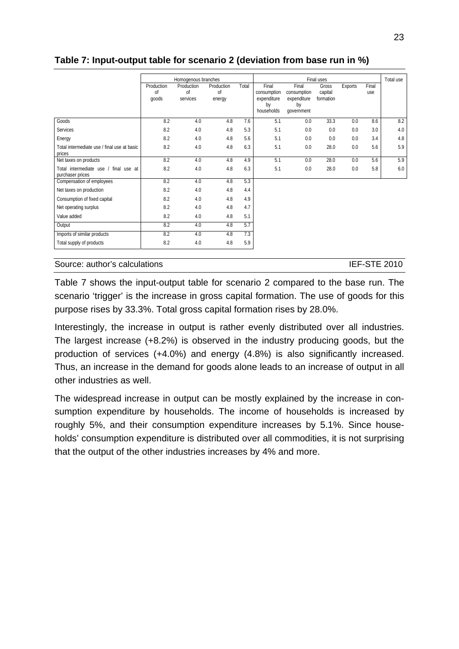#### **Table 7: Input-output table for scenario 2 (deviation from base run in %)**

|                                                           | Homogenous branches                  |                              |                            |       |                                                         | Total use                                               |                               |         |              |     |
|-----------------------------------------------------------|--------------------------------------|------------------------------|----------------------------|-------|---------------------------------------------------------|---------------------------------------------------------|-------------------------------|---------|--------------|-----|
|                                                           | Production<br><sup>of</sup><br>goods | Production<br>οf<br>services | Production<br>οf<br>energy | Total | Final<br>consumption<br>expenditure<br>by<br>households | Final<br>consumption<br>expenditure<br>by<br>qovernment | Gross<br>capital<br>formation | Exports | Final<br>use |     |
| Goods                                                     | 8.2                                  | 4.0                          | 4.8                        | 7.6   | 5.1                                                     | 0.0                                                     | 33.3                          | 0.0     | 8.6          | 8.2 |
| Services                                                  | 8.2                                  | 4.0                          | 4.8                        | 5.3   | 5.1                                                     | 0.0                                                     | 0.0                           | 0.0     | 3.0          | 4.0 |
| Energy                                                    | 8.2                                  | 4.0                          | 4.8                        | 5.6   | 5.1                                                     | 0.0                                                     | 0.0                           | 0.0     | 3.4          | 4.8 |
| Total intermediate use / final use at basic<br>prices     | 8.2                                  | 4.0                          | 4.8                        | 6.3   | 5.1                                                     | 0.0                                                     | 28.0                          | 0.0     | 5.6          | 5.9 |
| Net taxes on products                                     | 8.2                                  | 4.0                          | 4.8                        | 4.9   | 5.1                                                     | 0.0                                                     | 28.0                          | 0.0     | 5.6          | 5.9 |
| Total intermediate use / final use at<br>purchaser prices | 8.2                                  | 4.0                          | 4.8                        | 6.3   | 5.1                                                     | 0.0                                                     | 28.0                          | 0.0     | 5.8          | 6.0 |
| Compensation of employees                                 | 8.2                                  | 4.0                          | 4.8                        | 5.3   |                                                         |                                                         |                               |         |              |     |
| Net taxes on production                                   | 8.2                                  | 4.0                          | 4.8                        | 4.4   |                                                         |                                                         |                               |         |              |     |
| Consumption of fixed capital                              | 8.2                                  | 4.0                          | 4.8                        | 4.9   |                                                         |                                                         |                               |         |              |     |
| Net operating surplus                                     | 8.2                                  | 4.0                          | 4.8                        | 4.7   |                                                         |                                                         |                               |         |              |     |
| Value added                                               | 8.2                                  | 4.0                          | 4.8                        | 5.1   |                                                         |                                                         |                               |         |              |     |
| Output                                                    | 8.2                                  | 4.0                          | 4.8                        | 5.7   |                                                         |                                                         |                               |         |              |     |
| Imports of similar products                               | 8.2                                  | 4.0                          | 4.8                        | 7.3   |                                                         |                                                         |                               |         |              |     |
| Total supply of products                                  | 8.2                                  | 4.0                          | 4.8                        | 5.9   |                                                         |                                                         |                               |         |              |     |

#### Source: author's calculations **IEF-STE 2010**

Table 7 shows the input-output table for scenario 2 compared to the base run. The scenario 'trigger' is the increase in gross capital formation. The use of goods for this purpose rises by 33.3%. Total gross capital formation rises by 28.0%.

Interestingly, the increase in output is rather evenly distributed over all industries. The largest increase (+8.2%) is observed in the industry producing goods, but the production of services (+4.0%) and energy (4.8%) is also significantly increased. Thus, an increase in the demand for goods alone leads to an increase of output in all other industries as well.

The widespread increase in output can be mostly explained by the increase in consumption expenditure by households. The income of households is increased by roughly 5%, and their consumption expenditure increases by 5.1%. Since households' consumption expenditure is distributed over all commodities, it is not surprising that the output of the other industries increases by 4% and more.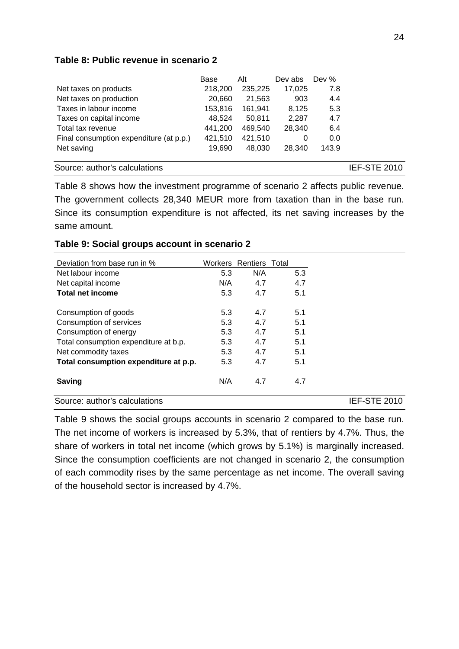#### **Table 8: Public revenue in scenario 2**

|                                         | Base    | Alt     | Dev abs | Dev % |                     |
|-----------------------------------------|---------|---------|---------|-------|---------------------|
| Net taxes on products                   | 218,200 | 235,225 | 17,025  | 7.8   |                     |
| Net taxes on production                 | 20,660  | 21,563  | 903     | 4.4   |                     |
| Taxes in labour income                  | 153,816 | 161,941 | 8,125   | 5.3   |                     |
| Taxes on capital income                 | 48.524  | 50.811  | 2,287   | 4.7   |                     |
| Total tax revenue                       | 441,200 | 469,540 | 28.340  | 6.4   |                     |
| Final consumption expenditure (at p.p.) | 421,510 | 421,510 | 0       | 0.0   |                     |
| Net saving                              | 19,690  | 48.030  | 28.340  | 143.9 |                     |
| Source: author's calculations           |         |         |         |       | <b>IEF-STE 2010</b> |

Table 8 shows how the investment programme of scenario 2 affects public revenue. The government collects 28,340 MEUR more from taxation than in the base run. Since its consumption expenditure is not affected, its net saving increases by the same amount.

| Deviation from base run in %          |     | Workers Rentiers Total |     |                     |
|---------------------------------------|-----|------------------------|-----|---------------------|
| Net labour income                     | 5.3 | N/A                    | 5.3 |                     |
| Net capital income                    | N/A | 4.7                    | 4.7 |                     |
| <b>Total net income</b>               | 5.3 | 4.7                    | 5.1 |                     |
| Consumption of goods                  | 5.3 | 4.7                    | 5.1 |                     |
| Consumption of services               | 5.3 | 4.7                    | 5.1 |                     |
| Consumption of energy                 | 5.3 | 4.7                    | 5.1 |                     |
| Total consumption expenditure at b.p. | 5.3 | 4.7                    | 5.1 |                     |
| Net commodity taxes                   | 5.3 | 4.7                    | 5.1 |                     |
| Total consumption expenditure at p.p. | 5.3 | 4.7                    | 5.1 |                     |
| <b>Saving</b>                         | N/A | 4.7                    | 4.7 |                     |
| Source: author's calculations         |     |                        |     | <b>IEF-STE 2010</b> |

#### **Table 9: Social groups account in scenario 2**

Table 9 shows the social groups accounts in scenario 2 compared to the base run. The net income of workers is increased by 5.3%, that of rentiers by 4.7%. Thus, the share of workers in total net income (which grows by 5.1%) is marginally increased. Since the consumption coefficients are not changed in scenario 2, the consumption of each commodity rises by the same percentage as net income. The overall saving of the household sector is increased by 4.7%.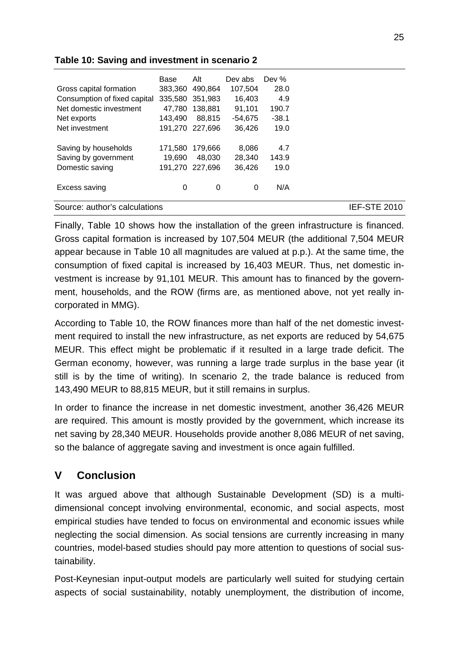|                               | Base    | Alt             | Dev abs   | Dev %   |              |
|-------------------------------|---------|-----------------|-----------|---------|--------------|
| Gross capital formation       | 383.360 | 490.864         | 107,504   | 28.0    |              |
| Consumption of fixed capital  | 335,580 | 351.983         | 16,403    | 4.9     |              |
| Net domestic investment       | 47.780  | 138,881         | 91,101    | 190.7   |              |
| Net exports                   | 143.490 | 88.815          | $-54.675$ | $-38.1$ |              |
| Net investment                |         | 191,270 227,696 | 36.426    | 19.0    |              |
| Saving by households          | 171.580 | 179.666         | 8,086     | 4.7     |              |
| Saving by government          | 19.690  | 48.030          | 28.340    | 143.9   |              |
| Domestic saving               | 191.270 | 227.696         | 36,426    | 19.0    |              |
| Excess saving                 | 0       | 0               | 0         | N/A     |              |
| Source: author's calculations |         |                 |           |         | IEF-STE 2010 |

#### **Table 10: Saving and investment in scenario 2**

Finally, Table 10 shows how the installation of the green infrastructure is financed. Gross capital formation is increased by 107,504 MEUR (the additional 7,504 MEUR appear because in Table 10 all magnitudes are valued at p.p.). At the same time, the consumption of fixed capital is increased by 16,403 MEUR. Thus, net domestic investment is increase by 91,101 MEUR. This amount has to financed by the government, households, and the ROW (firms are, as mentioned above, not yet really incorporated in MMG).

According to Table 10, the ROW finances more than half of the net domestic investment required to install the new infrastructure, as net exports are reduced by 54,675 MEUR. This effect might be problematic if it resulted in a large trade deficit. The German economy, however, was running a large trade surplus in the base year (it still is by the time of writing). In scenario 2, the trade balance is reduced from 143,490 MEUR to 88,815 MEUR, but it still remains in surplus.

In order to finance the increase in net domestic investment, another 36,426 MEUR are required. This amount is mostly provided by the government, which increase its net saving by 28,340 MEUR. Households provide another 8,086 MEUR of net saving, so the balance of aggregate saving and investment is once again fulfilled.

# **V Conclusion**

It was argued above that although Sustainable Development (SD) is a multidimensional concept involving environmental, economic, and social aspects, most empirical studies have tended to focus on environmental and economic issues while neglecting the social dimension. As social tensions are currently increasing in many countries, model-based studies should pay more attention to questions of social sustainability.

Post-Keynesian input-output models are particularly well suited for studying certain aspects of social sustainability, notably unemployment, the distribution of income,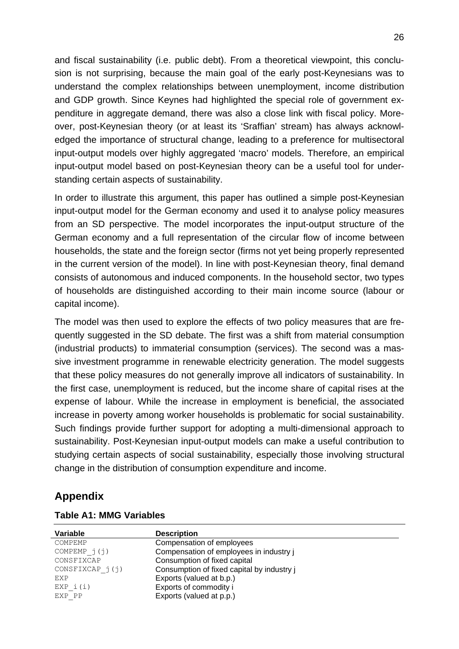and fiscal sustainability (i.e. public debt). From a theoretical viewpoint, this conclusion is not surprising, because the main goal of the early post-Keynesians was to understand the complex relationships between unemployment, income distribution and GDP growth. Since Keynes had highlighted the special role of government expenditure in aggregate demand, there was also a close link with fiscal policy. Moreover, post-Keynesian theory (or at least its 'Sraffian' stream) has always acknowledged the importance of structural change, leading to a preference for multisectoral input-output models over highly aggregated 'macro' models. Therefore, an empirical input-output model based on post-Keynesian theory can be a useful tool for understanding certain aspects of sustainability.

In order to illustrate this argument, this paper has outlined a simple post-Keynesian input-output model for the German economy and used it to analyse policy measures from an SD perspective. The model incorporates the input-output structure of the German economy and a full representation of the circular flow of income between households, the state and the foreign sector (firms not yet being properly represented in the current version of the model). In line with post-Keynesian theory, final demand consists of autonomous and induced components. In the household sector, two types of households are distinguished according to their main income source (labour or capital income).

The model was then used to explore the effects of two policy measures that are frequently suggested in the SD debate. The first was a shift from material consumption (industrial products) to immaterial consumption (services). The second was a massive investment programme in renewable electricity generation. The model suggests that these policy measures do not generally improve all indicators of sustainability. In the first case, unemployment is reduced, but the income share of capital rises at the expense of labour. While the increase in employment is beneficial, the associated increase in poverty among worker households is problematic for social sustainability. Such findings provide further support for adopting a multi-dimensional approach to sustainability. Post-Keynesian input-output models can make a useful contribution to studying certain aspects of social sustainability, especially those involving structural change in the distribution of consumption expenditure and income.

# **Appendix**

| Variable           | <b>Description</b>                         |
|--------------------|--------------------------------------------|
| COMPEMP            | Compensation of employees                  |
| COMPEMP $j(j)$     | Compensation of employees in industry j    |
| CONSFIXCAP         | Consumption of fixed capital               |
| $CONFIXCAP \ j(j)$ | Consumption of fixed capital by industry j |
| EXP                | Exports (valued at b.p.)                   |
| EXP i(i)           | Exports of commodity i                     |
| EXP PP             | Exports (valued at p.p.)                   |

#### **Table A1: MMG Variables**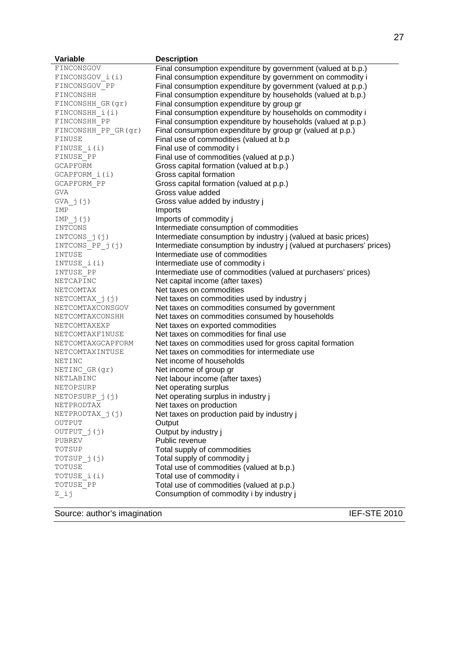| Variable             | <b>Description</b>                                                    |
|----------------------|-----------------------------------------------------------------------|
| FINCONSGOV           | Final consumption expenditure by government (valued at b.p.)          |
| FINCONSGOV i(i)      | Final consumption expenditure by government on commodity i            |
| FINCONSGOV PP        | Final consumption expenditure by government (valued at p.p.)          |
| FINCONSHH            | Final consumption expenditure by households (valued at b.p.)          |
| FINCONSHH GR(gr)     | Final consumption expenditure by group gr                             |
| FINCONSHH i(i)       | Final consumption expenditure by households on commodity i            |
| FINCONSHH PP         | Final consumption expenditure by households (valued at p.p.)          |
| FINCONSHH PP GR (gr) | Final consumption expenditure by group gr (valued at p.p.)            |
| FINUSE               | Final use of commodities (valued at b.p                               |
| FINUSE i(i)          | Final use of commodity i                                              |
| FINUSE PP            | Final use of commodities (valued at p.p.)                             |
| GCAPFORM             | Gross capital formation (valued at b.p.)                              |
| GCAPFORM i(i)        | Gross capital formation                                               |
| GCAPFORM PP          | Gross capital formation (valued at p.p.)                              |
| GVA                  | Gross value added                                                     |
| $GVA$ $j(j)$         | Gross value added by industry j                                       |
| IMP                  | Imports                                                               |
| IMP j(j)             | Imports of commodity j                                                |
| INTCONS              | Intermediate consumption of commodities                               |
| INTCONS $j(j)$       | Intermediate consumption by industry j (valued at basic prices)       |
| INTCONS PP j(j)      | Intermediate consumption by industry j (valued at purchasers' prices) |
| INTUSE               | Intermediate use of commodities                                       |
| INTUSE i(i)          | Intermediate use of commodity i                                       |
| INTUSE PP            | Intermediate use of commodities (valued at purchasers' prices)        |
| NETCAPINC            | Net capital income (after taxes)                                      |
| NETCOMTAX            | Net taxes on commodities                                              |
| NETCOMTAX_j(j)       | Net taxes on commodities used by industry j                           |
| NETCOMTAXCONSGOV     | Net taxes on commodities consumed by government                       |
| NETCOMTAXCONSHH      | Net taxes on commodities consumed by households                       |
| NETCOMTAXEXP         | Net taxes on exported commodities                                     |
| NETCOMTAXFINUSE      | Net taxes on commodities for final use                                |
| NETCOMTAXGCAPFORM    | Net taxes on commodities used for gross capital formation             |
| NETCOMTAXINTUSE      | Net taxes on commodities for intermediate use                         |
| NETINC               | Net income of households                                              |
| NETINC GR(gr)        | Net income of group gr                                                |
| NETLABINC            | Net labour income (after taxes)                                       |
| NETOPSURP            | Net operating surplus                                                 |
| NETOPSURP_j(j)       | Net operating surplus in industry j                                   |
| NETPRODTAX           | Net taxes on production                                               |
| NETPRODTAX_j(j)      | Net taxes on production paid by industry j                            |
| OUTPUT               | Output                                                                |
| OUTPUT j(j)          | Output by industry j                                                  |
| PUBREV               | Public revenue                                                        |
| TOTSUP               | Total supply of commodities                                           |
| TOTSUP j(j)          | Total supply of commodity j                                           |
| TOTUSE               | Total use of commodities (valued at b.p.)                             |
| TOTUSE i(i)          | Total use of commodity i                                              |
| TOTUSE PP            | Total use of commodities (valued at p.p.)                             |
| Z ij                 | Consumption of commodity i by industry j                              |
|                      |                                                                       |

Source: author's imagination IEF-STE 2010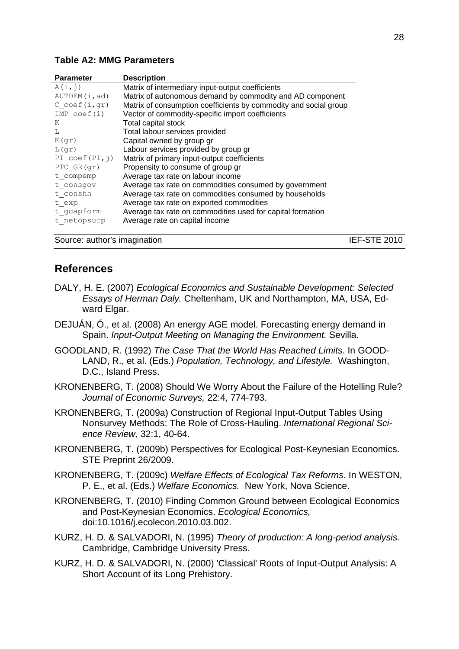#### **Table A2: MMG Parameters**

| <b>Parameter</b>                       | <b>Description</b>                                               |
|----------------------------------------|------------------------------------------------------------------|
| A(i,j)                                 | Matrix of intermediary input-output coefficients                 |
| AUTDEM(i, ad)                          | Matrix of autonomous demand by commodity and AD component        |
| $C$ coef(i,gr)                         | Matrix of consumption coefficients by commodity and social group |
| $IMP$ coef $(i)$                       | Vector of commodity-specific import coefficients                 |
| K                                      | Total capital stock                                              |
| L                                      | Total labour services provided                                   |
| K(qr)                                  | Capital owned by group gr                                        |
| L(qr)                                  | Labour services provided by group gr                             |
| PI $\text{coef}(PI, \dot{\mathbf{1}})$ | Matrix of primary input-output coefficients                      |
| PTC GR(gr)                             | Propensity to consume of group gr                                |
| t compemp                              | Average tax rate on labour income                                |
| t consgov                              | Average tax rate on commodities consumed by government           |
| t conshh                               | Average tax rate on commodities consumed by households           |
| t exp                                  | Average tax rate on exported commodities                         |
| t gcapform                             | Average tax rate on commodities used for capital formation       |
| t netopsurp                            | Average rate on capital income                                   |
|                                        |                                                                  |

Source: author's imagination **IEF-STE 2010** 

# **References**

- DALY, H. E. (2007) *Ecological Economics and Sustainable Development: Selected Essays of Herman Daly.* Cheltenham, UK and Northampton, MA, USA, Edward Elgar.
- DEJUÁN, Ó., et al. (2008) An energy AGE model. Forecasting energy demand in Spain. *Input-Output Meeting on Managing the Environment.* Sevilla.
- GOODLAND, R. (1992) *The Case That the World Has Reached Limits*. In GOOD-LAND, R., et al. (Eds.) *Population, Technology, and Lifestyle.* Washington, D.C., Island Press.
- KRONENBERG, T. (2008) Should We Worry About the Failure of the Hotelling Rule? *Journal of Economic Surveys,* 22:4, 774-793.
- KRONENBERG, T. (2009a) Construction of Regional Input-Output Tables Using Nonsurvey Methods: The Role of Cross-Hauling. *International Regional Science Review,* 32:1, 40-64.
- KRONENBERG, T. (2009b) Perspectives for Ecological Post-Keynesian Economics. STE Preprint 26/2009.
- KRONENBERG, T. (2009c) *Welfare Effects of Ecological Tax Reforms*. In WESTON, P. E., et al. (Eds.) *Welfare Economics.* New York, Nova Science.
- KRONENBERG, T. (2010) Finding Common Ground between Ecological Economics and Post-Keynesian Economics. *Ecological Economics,* doi:10.1016/j.ecolecon.2010.03.002.
- KURZ, H. D. & SALVADORI, N. (1995) *Theory of production: A long-period analysis.*  Cambridge, Cambridge University Press.
- KURZ, H. D. & SALVADORI, N. (2000) 'Classical' Roots of Input-Output Analysis: A Short Account of its Long Prehistory.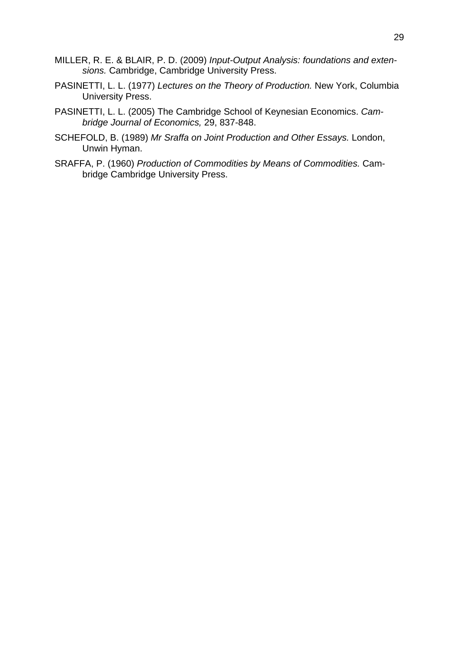- MILLER, R. E. & BLAIR, P. D. (2009) *Input-Output Analysis: foundations and extensions.* Cambridge, Cambridge University Press.
- PASINETTI, L. L. (1977) *Lectures on the Theory of Production.* New York, Columbia University Press.
- PASINETTI, L. L. (2005) The Cambridge School of Keynesian Economics. *Cambridge Journal of Economics,* 29, 837-848.
- SCHEFOLD, B. (1989) *Mr Sraffa on Joint Production and Other Essays.* London, Unwin Hyman.
- SRAFFA, P. (1960) *Production of Commodities by Means of Commodities.* Cambridge Cambridge University Press.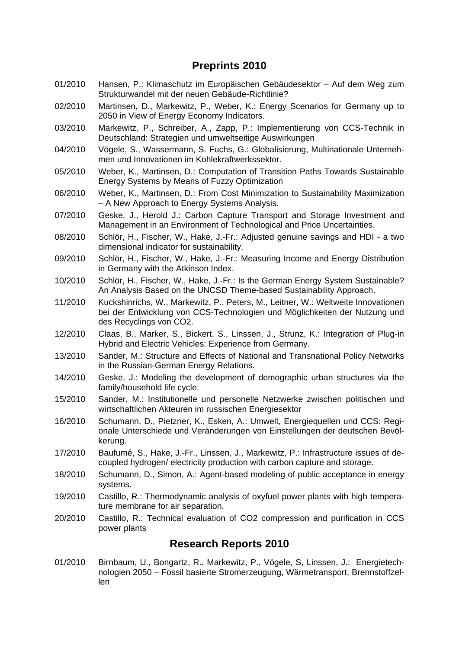# **Preprints 2010**

- 01/2010 Hansen, P.: Klimaschutz im Europäischen Gebäudesektor Auf dem Weg zum Strukturwandel mit der neuen Gebäude-Richtlinie?
- 02/2010 Martinsen, D., Markewitz, P., Weber, K.: Energy Scenarios for Germany up to 2050 in View of Energy Economy Indicators.
- 03/2010 Markewitz, P., Schreiber, A., Zapp, P.: Implementierung von CCS-Technik in Deutschland: Strategien und umweltseitige Auswirkungen
- 04/2010 Vögele, S., Wassermann, S. Fuchs, G.: Globalisierung, Multinationale Unternehmen und Innovationen im Kohlekraftwerkssektor.
- 05/2010 Weber, K., Martinsen, D.: Computation of Transition Paths Towards Sustainable Energy Systems by Means of Fuzzy Optimization
- 06/2010 Weber, K., Martinsen, D.: From Cost Minimization to Sustainability Maximization – A New Approach to Energy Systems Analysis.
- 07/2010 Geske, J., Herold J.: Carbon Capture Transport and Storage Investment and Management in an Environment of Technological and Price Uncertainties.
- 08/2010 Schlör, H., Fischer, W., Hake, J.-Fr.: Adjusted genuine savings and HDI a two dimensional indicator for sustainability.
- 09/2010 Schlör, H., Fischer, W., Hake, J.-Fr.: Measuring Income and Energy Distribution in Germany with the Atkinson Index.
- 10/2010 Schlör, H., Fischer, W., Hake, J.-Fr.: Is the German Energy System Sustainable? An Analysis Based on the UNCSD Theme-based Sustainability Approach.
- 11/2010 Kuckshinrichs, W., Markewitz, P., Peters, M., Leitner, W.: Weltweite Innovationen bei der Entwicklung von CCS-Technologien und Möglichkeiten der Nutzung und des Recyclings von CO2.
- 12/2010 Claas, B., Marker, S., Bickert, S., Linssen, J., Strunz, K.: Integration of Plug-in Hybrid and Electric Vehicles: Experience from Germany.
- 13/2010 Sander, M.: Structure and Effects of National and Transnational Policy Networks in the Russian-German Energy Relations.
- 14/2010 Geske, J.: Modeling the development of demographic urban structures via the family/household life cycle.
- 15/2010 Sander, M.: Institutionelle und personelle Netzwerke zwischen politischen und wirtschaftlichen Akteuren im russischen Energiesektor
- 16/2010 Schumann, D., Pietzner, K., Esken, A.: Umwelt, Energiequellen und CCS: Regionale Unterschiede und Veränderungen von Einstellungen der deutschen Bevölkerung.
- 17/2010 Baufumé, S., Hake, J.-Fr., Linssen, J., Markewitz, P.: Infrastructure issues of decoupled hydrogen/ electricity production with carbon capture and storage.
- 18/2010 Schumann, D., Simon, A.: Agent-based modeling of public acceptance in energy systems.
- 19/2010 Castillo, R.: Thermodynamic analysis of oxyfuel power plants with high temperature membrane for air separation.
- 20/2010 Castillo, R.: Technical evaluation of CO2 compression and purification in CCS power plants

# **Research Reports 2010**

01/2010 Birnbaum, U., Bongartz, R., Markewitz, P., Vögele, S, Linssen, J.: Energietechnologien 2050 – Fossil basierte Stromerzeugung, Wärmetransport, Brennstoffzellen